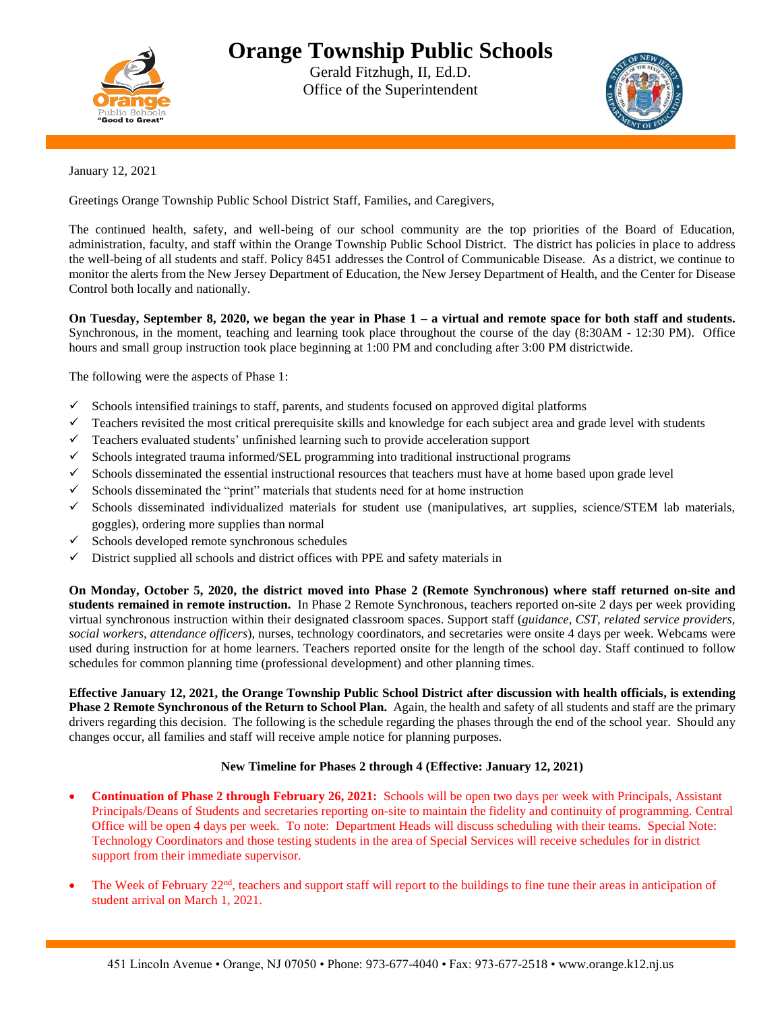

## **Orange Township Public Schools**

Gerald Fitzhugh, II, Ed.D. Office of the Superintendent



January 12, 2021

Greetings Orange Township Public School District Staff, Families, and Caregivers,

The continued health, safety, and well-being of our school community are the top priorities of the Board of Education, administration, faculty, and staff within the Orange Township Public School District. The district has policies in place to address the well-being of all students and staff. Policy 8451 addresses the Control of Communicable Disease. As a district, we continue to monitor the alerts from the New Jersey Department of Education, the New Jersey Department of Health, and the Center for Disease Control both locally and nationally.

**On Tuesday, September 8, 2020, we began the year in Phase 1 – a virtual and remote space for both staff and students.** Synchronous, in the moment, teaching and learning took place throughout the course of the day (8:30AM - 12:30 PM). Office hours and small group instruction took place beginning at 1:00 PM and concluding after 3:00 PM districtwide.

The following were the aspects of Phase 1:

- $\checkmark$  Schools intensified trainings to staff, parents, and students focused on approved digital platforms
- $\checkmark$  Teachers revisited the most critical prerequisite skills and knowledge for each subject area and grade level with students
- $\checkmark$  Teachers evaluated students' unfinished learning such to provide acceleration support
- $\checkmark$  Schools integrated trauma informed/SEL programming into traditional instructional programs
- $\checkmark$  Schools disseminated the essential instructional resources that teachers must have at home based upon grade level
- $\checkmark$  Schools disseminated the "print" materials that students need for at home instruction
- $\checkmark$  Schools disseminated individualized materials for student use (manipulatives, art supplies, science/STEM lab materials, goggles), ordering more supplies than normal
- $\checkmark$  Schools developed remote synchronous schedules
- $\checkmark$  District supplied all schools and district offices with PPE and safety materials in

**On Monday, October 5, 2020, the district moved into Phase 2 (Remote Synchronous) where staff returned on-site and students remained in remote instruction.** In Phase 2 Remote Synchronous, teachers reported on-site 2 days per week providing virtual synchronous instruction within their designated classroom spaces. Support staff (*guidance, CST, related service providers, social workers, attendance officers*), nurses, technology coordinators, and secretaries were onsite 4 days per week. Webcams were used during instruction for at home learners. Teachers reported onsite for the length of the school day. Staff continued to follow schedules for common planning time (professional development) and other planning times.

**Effective January 12, 2021, the Orange Township Public School District after discussion with health officials, is extending Phase 2 Remote Synchronous of the Return to School Plan.** Again, the health and safety of all students and staff are the primary drivers regarding this decision. The following is the schedule regarding the phases through the end of the school year. Should any changes occur, all families and staff will receive ample notice for planning purposes.

## **New Timeline for Phases 2 through 4 (Effective: January 12, 2021)**

- **Continuation of Phase 2 through February 26, 2021:** Schools will be open two days per week with Principals, Assistant Principals/Deans of Students and secretaries reporting on-site to maintain the fidelity and continuity of programming. Central Office will be open 4 days per week. To note: Department Heads will discuss scheduling with their teams. Special Note: Technology Coordinators and those testing students in the area of Special Services will receive schedules for in district support from their immediate supervisor.
- The Week of February 22<sup>nd</sup>, teachers and support staff will report to the buildings to fine tune their areas in anticipation of student arrival on March 1, 2021.